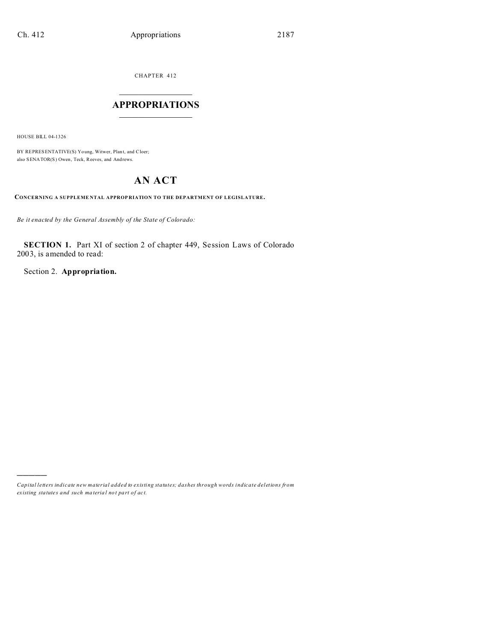CHAPTER 412  $\overline{\phantom{a}}$  , where  $\overline{\phantom{a}}$ 

## **APPROPRIATIONS**  $\_$   $\_$   $\_$   $\_$   $\_$   $\_$   $\_$   $\_$

HOUSE BILL 04-1326

)))))

BY REPRESENTATIVE(S) Yo ung, Witwer, Plant, and Cloer; also SENATOR(S) Owen, Teck, Reeves, and Andrews.

## **AN ACT**

**CONCERNING A SUPPLEME NTAL APPROP RIATION TO THE DEPARTMENT OF LEGISLATURE.**

*Be it enacted by the General Assembly of the State of Colorado:*

**SECTION 1.** Part XI of section 2 of chapter 449, Session Laws of Colorado 2003, is amended to read:

Section 2. **Appropriation.**

*Capital letters indicate new material added to existing statutes; dashes through words indicate deletions from ex isting statute s and such ma teria l no t pa rt of ac t.*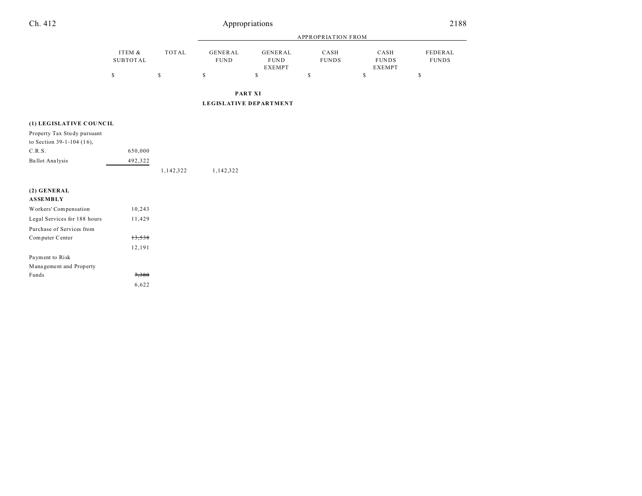## Ch. 412 Appropriations

|                    |       | <b>APPROPRIATION FROM</b>     |                                         |                      |                                       |                         |
|--------------------|-------|-------------------------------|-----------------------------------------|----------------------|---------------------------------------|-------------------------|
| ITEM &<br>SUBTOTAL | TOTAL | <b>GENERAL</b><br><b>FUND</b> | GENERAL<br><b>FUND</b><br><b>EXEMPT</b> | CASH<br><b>FUNDS</b> | CASH<br><b>FUNDS</b><br><b>EXEMPT</b> | FEDERAL<br><b>FUNDS</b> |
| S                  | S     | S                             | S                                       | S                    | \$                                    | \$                      |

## **(1) LEGISLATIVE COU NC IL**

| Property Tax Study pursuant |         |           |           |
|-----------------------------|---------|-----------|-----------|
| to Section $39-1-104$ (16), |         |           |           |
| C.R.S.                      | 650,000 |           |           |
| Ballot Analysis             | 492.322 |           |           |
|                             |         | 1,142,322 | 1,142,322 |

10,243

| $(2)$ GENERAL                                                   |
|-----------------------------------------------------------------|
| <b>ASSEMBLY</b>                                                 |
| Workers' Compensation                                           |
| $\mathbf{r}$ and $\mathbf{r}$ and $\mathbf{r}$ and $\mathbf{r}$ |

| Legal Services for 188 hours | 11,429 |
|------------------------------|--------|
| Purchase of Services from    |        |
| Computer Center              | 13,538 |
|                              | 12,191 |
| Payment to Risk              |        |
| Management and Property      |        |
| Funds                        | 7.380  |
|                              | 6.622  |